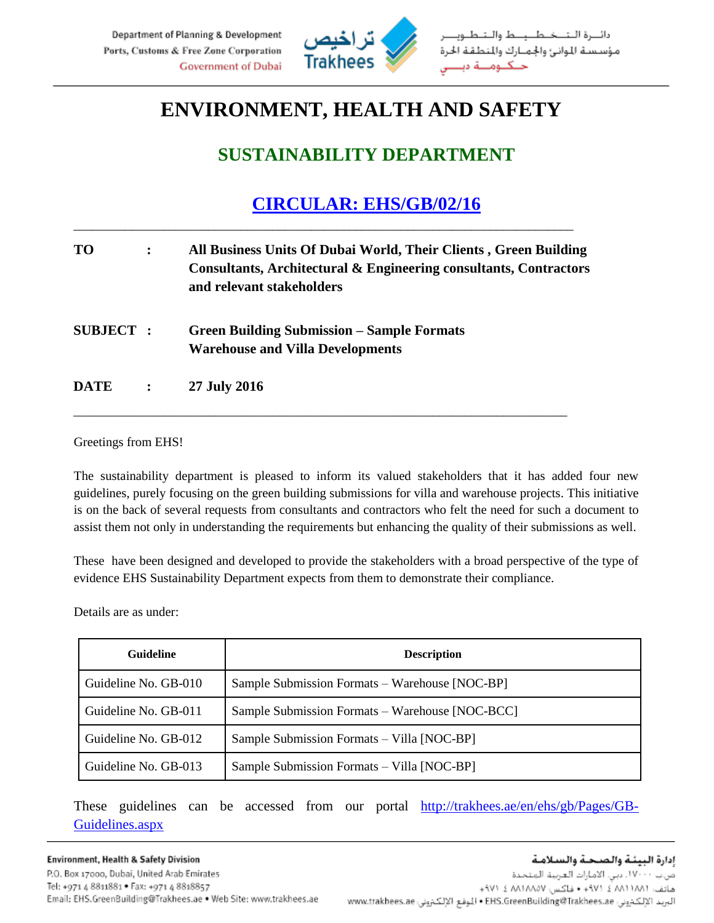

## **ENVIRONMENT, HEALTH AND SAFETY**

## **SUSTAINABILITY DEPARTMENT**

## **CIRCULAR: EHS/GB/02/16**

| <b>TO</b>        |                | All Business Units Of Dubai World, Their Clients, Green Building<br>Consultants, Architectural & Engineering consultants, Contractors<br>and relevant stakeholders |
|------------------|----------------|--------------------------------------------------------------------------------------------------------------------------------------------------------------------|
| <b>SUBJECT</b> : |                | <b>Green Building Submission – Sample Formats</b><br><b>Warehouse and Villa Developments</b>                                                                       |
| <b>DATE</b>      | $\ddot{\cdot}$ | 27 July 2016                                                                                                                                                       |

\_\_\_\_\_\_\_\_\_\_\_\_\_\_\_\_\_\_\_\_\_\_\_\_\_\_\_\_\_\_\_\_\_\_\_\_\_\_\_\_\_\_\_\_\_\_\_\_\_\_\_\_\_\_\_\_\_\_\_\_\_\_\_\_\_\_\_\_\_\_\_\_\_\_\_\_\_

\_\_\_\_\_\_\_\_\_\_\_\_\_\_\_\_\_\_\_\_\_\_\_\_\_\_\_\_\_\_\_\_\_\_\_\_\_\_\_\_\_\_\_\_\_\_\_\_\_\_\_\_\_\_\_\_\_\_\_\_\_\_\_\_\_\_\_\_\_\_\_\_\_\_\_\_\_\_

Greetings from EHS!

The sustainability department is pleased to inform its valued stakeholders that it has added four new guidelines, purely focusing on the green building submissions for villa and warehouse projects. This initiative is on the back of several requests from consultants and contractors who felt the need for such a document to assist them not only in understanding the requirements but enhancing the quality of their submissions as well.

These have been designed and developed to provide the stakeholders with a broad perspective of the type of evidence EHS Sustainability Department expects from them to demonstrate their compliance.

Details are as under:

| Guideline            | <b>Description</b>                              |
|----------------------|-------------------------------------------------|
| Guideline No. GB-010 | Sample Submission Formats – Warehouse [NOC-BP]  |
| Guideline No. GB-011 | Sample Submission Formats - Warehouse [NOC-BCC] |
| Guideline No. GB-012 | Sample Submission Formats - Villa [NOC-BP]      |
| Guideline No. GB-013 | Sample Submission Formats – Villa [NOC-BP]      |

These guidelines can be accessed from our portal [http://trakhees.ae/en/ehs/gb/Pages/GB-](http://trakhees.ae/en/ehs/gb/Pages/GB-Guidelines.aspx)[Guidelines.aspx](http://trakhees.ae/en/ehs/gb/Pages/GB-Guidelines.aspx)

Environment, Health & Safety Division